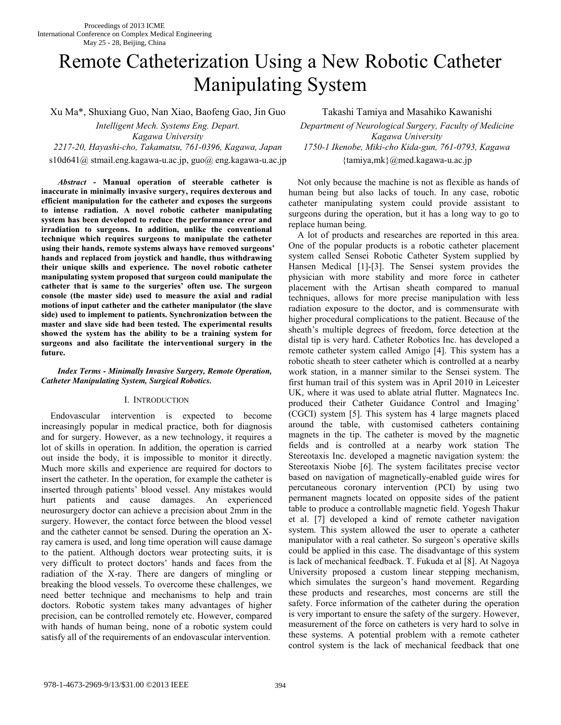# Remote Catheterization Using a New Robotic Catheter Manipulating System

Xu Ma\*, Shuxiang Guo, Nan Xiao, Baofeng Gao, Jin Guo Takashi Tamiya and Masahiko Kawanishi

*Kagawa University Kagawa University 2217-20, Hayashi-cho, Takamatsu, 761-0396, Kagawa, Japan 1750-1 Ikenobe, Miki-cho Kida-gun, 761-0793, Kagawa* 

*Abstract* **- Manual operation of steerable catheter is inaccurate in minimally invasive surgery, requires dexterous and efficient manipulation for the catheter and exposes the surgeons to intense radiation. A novel robotic catheter manipulating system has been developed to reduce the performance error and irradiation to surgeons. In addition, unlike the conventional technique which requires surgeons to manipulate the catheter using their hands, remote systems always have removed surgeons' hands and replaced from joystick and handle, thus withdrawing their unique skills and experience. The novel robotic catheter manipulating system proposed that surgeon could manipulate the catheter that is same to the surgeries' often use. The surgeon console (the master side) used to measure the axial and radial motions of input catheter and the catheter manipulator (the slave side) used to implement to patients. Synchronization between the master and slave side had been tested. The experimental results showed the system has the ability to be a training system for surgeons and also facilitate the interventional surgery in the future.** 

## *Index Terms - Minimally Invasive Surgery, Remote Operation, Catheter Manipulating System, Surgical Robotics.*

## I. INTRODUCTION

Endovascular intervention is expected to become increasingly popular in medical practice, both for diagnosis and for surgery. However, as a new technology, it requires a lot of skills in operation. In addition, the operation is carried out inside the body, it is impossible to monitor it directly. Much more skills and experience are required for doctors to insert the catheter. In the operation, for example the catheter is inserted through patients' blood vessel. Any mistakes would hurt patients and cause damages. An experienced neurosurgery doctor can achieve a precision about 2mm in the surgery. However, the contact force between the blood vessel and the catheter cannot be sensed. During the operation an Xray camera is used, and long time operation will cause damage to the patient. Although doctors wear protecting suits, it is very difficult to protect doctors' hands and faces from the radiation of the X-ray. There are dangers of mingling or breaking the blood vessels. To overcome these challenges, we need better technique and mechanisms to help and train doctors. Robotic system takes many advantages of higher precision, can be controlled remotely etc. However, compared with hands of human being, none of a robotic system could satisfy all of the requirements of an endovascular intervention.

*Intelligent Mech. Systems Eng. Depart. Department of Neurological Surgery, Faculty of Medicine*  s10d641@ stmail.eng.kagawa-u.ac.jp, guo@ eng.kagawa-u.ac.jp {tamiya,mk}@med.kagawa-u.ac.jp

> Not only because the machine is not as flexible as hands of human being but also lacks of touch. In any case, robotic catheter manipulating system could provide assistant to surgeons during the operation, but it has a long way to go to replace human being.

A lot of products and researches are reported in this area. One of the popular products is a robotic catheter placement system called Sensei Robotic Catheter System supplied by Hansen Medical [1]-[3]. The Sensei system provides the physician with more stability and more force in catheter placement with the Artisan sheath compared to manual techniques, allows for more precise manipulation with less radiation exposure to the doctor, and is commensurate with higher procedural complications to the patient. Because of the sheath's multiple degrees of freedom, force detection at the distal tip is very hard. Catheter Robotics Inc. has developed a remote catheter system called Amigo [4]. This system has a robotic sheath to steer catheter which is controlled at a nearby work station, in a manner similar to the Sensei system. The first human trail of this system was in April 2010 in Leicester UK, where it was used to ablate atrial flutter. Magnatecs Inc. produced their Catheter Guidance Control and Imaging' (CGCI) system [5]. This system has 4 large magnets placed around the table, with customised catheters containing magnets in the tip. The catheter is moved by the magnetic fields and is controlled at a nearby work station The Stereotaxis Inc. developed a magnetic navigation system: the Stereotaxis Niobe [6]. The system facilitates precise vector based on navigation of magnetically-enabled guide wires for percutaneous coronary intervention (PCI) by using two permanent magnets located on opposite sides of the patient table to produce a controllable magnetic field. Yogesh Thakur et al. [7] developed a kind of remote catheter navigation system. This system allowed the user to operate a catheter manipulator with a real catheter. So surgeon's operative skills could be applied in this case. The disadvantage of this system is lack of mechanical feedback. T. Fukuda et al [8]. At Nagoya University proposed a custom linear stepping mechanism, which simulates the surgeon's hand movement. Regarding these products and researches, most concerns are still the safety. Force information of the catheter during the operation is very important to ensure the safety of the surgery. However, measurement of the force on catheters is very hard to solve in these systems. A potential problem with a remote catheter control system is the lack of mechanical feedback that one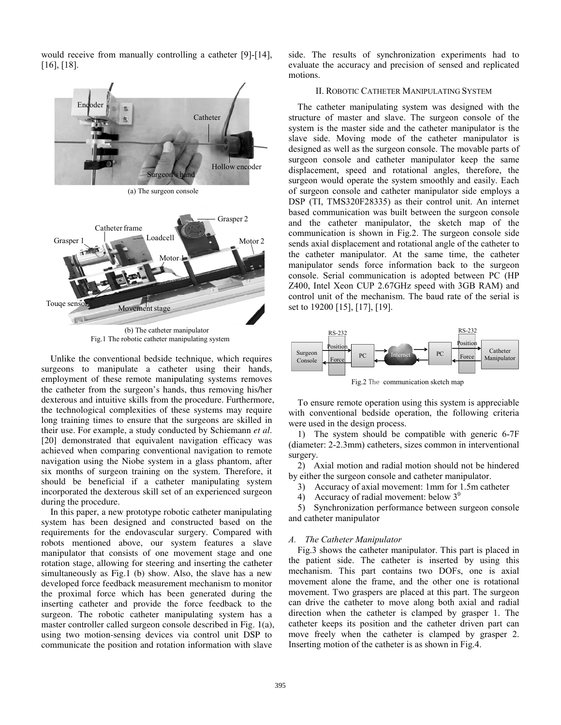would receive from manually controlling a catheter [9]-[14], [16], [18].



Fig.1 The robotic catheter manipulating system

Unlike the conventional bedside technique, which requires surgeons to manipulate a catheter using their hands, employment of these remote manipulating systems removes the catheter from the surgeon's hands, thus removing his/her dexterous and intuitive skills from the procedure. Furthermore, the technological complexities of these systems may require long training times to ensure that the surgeons are skilled in their use. For example, a study conducted by Schiemann *et al*. [20] demonstrated that equivalent navigation efficacy was achieved when comparing conventional navigation to remote navigation using the Niobe system in a glass phantom, after six months of surgeon training on the system. Therefore, it should be beneficial if a catheter manipulating system incorporated the dexterous skill set of an experienced surgeon during the procedure.

In this paper, a new prototype robotic catheter manipulating system has been designed and constructed based on the requirements for the endovascular surgery. Compared with robots mentioned above, our system features a slave manipulator that consists of one movement stage and one rotation stage, allowing for steering and inserting the catheter simultaneously as Fig.1 (b) show. Also, the slave has a new developed force feedback measurement mechanism to monitor the proximal force which has been generated during the inserting catheter and provide the force feedback to the surgeon. The robotic catheter manipulating system has a master controller called surgeon console described in Fig. 1(a), using two motion-sensing devices via control unit DSP to communicate the position and rotation information with slave

side. The results of synchronization experiments had to evaluate the accuracy and precision of sensed and replicated motions.

## II. ROBOTIC CATHETER MANIPULATING SYSTEM

The catheter manipulating system was designed with the structure of master and slave. The surgeon console of the system is the master side and the catheter manipulator is the slave side. Moving mode of the catheter manipulator is designed as well as the surgeon console. The movable parts of surgeon console and catheter manipulator keep the same displacement, speed and rotational angles, therefore, the surgeon would operate the system smoothly and easily. Each of surgeon console and catheter manipulator side employs a DSP (TI, TMS320F28335) as their control unit. An internet based communication was built between the surgeon console and the catheter manipulator, the sketch map of the communication is shown in Fig.2. The surgeon console side sends axial displacement and rotational angle of the catheter to the catheter manipulator. At the same time, the catheter manipulator sends force information back to the surgeon console. Serial communication is adopted between PC (HP Z400, Intel Xeon CUP 2.67GHz speed with 3GB RAM) and control unit of the mechanism. The baud rate of the serial is set to 19200 [15], [17], [19].



Fig.2 The communication sketch map

To ensure remote operation using this system is appreciable with conventional bedside operation, the following criteria were used in the design process.

1) The system should be compatible with generic 6-7F (diameter: 2-2.3mm) catheters, sizes common in interventional surgery.

2) Axial motion and radial motion should not be hindered by either the surgeon console and catheter manipulator.

3) Accuracy of axial movement: 1mm for 1.5m catheter

4) Accuracy of radial movement: below  $3^0$ 

5) Synchronization performance between surgeon console and catheter manipulator

## *A. The Catheter Manipulator*

Fig.3 shows the catheter manipulator. This part is placed in the patient side. The catheter is inserted by using this mechanism. This part contains two DOFs, one is axial movement alone the frame, and the other one is rotational movement. Two graspers are placed at this part. The surgeon can drive the catheter to move along both axial and radial direction when the catheter is clamped by grasper 1. The catheter keeps its position and the catheter driven part can move freely when the catheter is clamped by grasper 2. Inserting motion of the catheter is as shown in Fig.4.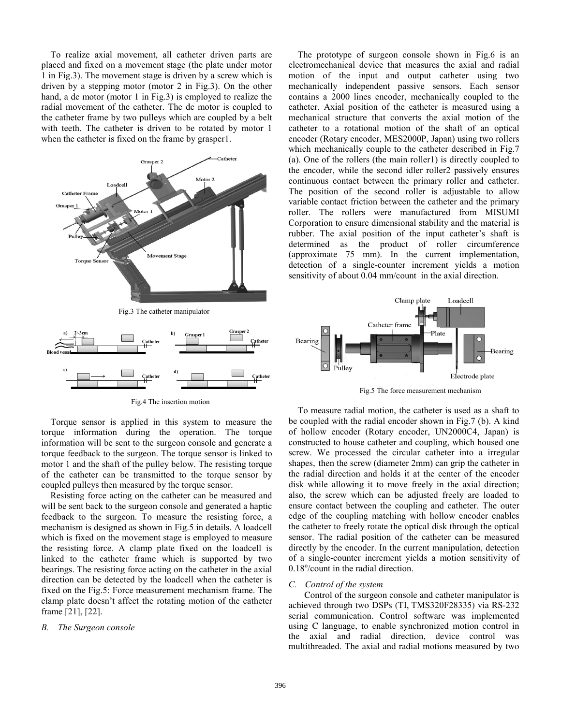To realize axial movement, all catheter driven parts are placed and fixed on a movement stage (the plate under motor 1 in Fig.3). The movement stage is driven by a screw which is driven by a stepping motor (motor 2 in Fig.3). On the other hand, a dc motor (motor 1 in Fig.3) is employed to realize the radial movement of the catheter. The dc motor is coupled to the catheter frame by two pulleys which are coupled by a belt with teeth. The catheter is driven to be rotated by motor 1 when the catheter is fixed on the frame by grasper1.



Fig.4 The insertion motion

Torque sensor is applied in this system to measure the torque information during the operation. The torque information will be sent to the surgeon console and generate a torque feedback to the surgeon. The torque sensor is linked to motor 1 and the shaft of the pulley below. The resisting torque of the catheter can be transmitted to the torque sensor by coupled pulleys then measured by the torque sensor.

Resisting force acting on the catheter can be measured and will be sent back to the surgeon console and generated a haptic feedback to the surgeon. To measure the resisting force, a mechanism is designed as shown in Fig.5 in details. A loadcell which is fixed on the movement stage is employed to measure the resisting force. A clamp plate fixed on the loadcell is linked to the catheter frame which is supported by two bearings. The resisting force acting on the catheter in the axial direction can be detected by the loadcell when the catheter is fixed on the Fig.5: Force measurement mechanism frame. The clamp plate doesn't affect the rotating motion of the catheter frame [21], [22].

#### *B. The Surgeon console*

The prototype of surgeon console shown in Fig.6 is an electromechanical device that measures the axial and radial motion of the input and output catheter using two mechanically independent passive sensors. Each sensor contains a 2000 lines encoder, mechanically coupled to the catheter. Axial position of the catheter is measured using a mechanical structure that converts the axial motion of the catheter to a rotational motion of the shaft of an optical encoder (Rotary encoder, MES2000P, Japan) using two rollers which mechanically couple to the catheter described in Fig.7 (a). One of the rollers (the main roller1) is directly coupled to the encoder, while the second idler roller2 passively ensures continuous contact between the primary roller and catheter. The position of the second roller is adjustable to allow variable contact friction between the catheter and the primary roller. The rollers were manufactured from MISUMI Corporation to ensure dimensional stability and the material is rubber. The axial position of the input catheter's shaft is determined as the product of roller circumference (approximate 75 mm). In the current implementation, detection of a single-counter increment yields a motion sensitivity of about 0.04 mm/count in the axial direction.



Fig.5 The force measurement mechanism

To measure radial motion, the catheter is used as a shaft to be coupled with the radial encoder shown in Fig.7 (b). A kind of hollow encoder (Rotary encoder, UN2000C4, Japan) is constructed to house catheter and coupling, which housed one screw. We processed the circular catheter into a irregular shapes, then the screw (diameter 2mm) can grip the catheter in the radial direction and holds it at the center of the encoder disk while allowing it to move freely in the axial direction; also, the screw which can be adjusted freely are loaded to ensure contact between the coupling and catheter. The outer edge of the coupling matching with hollow encoder enables the catheter to freely rotate the optical disk through the optical sensor. The radial position of the catheter can be measured directly by the encoder. In the current manipulation, detection of a single-counter increment yields a motion sensitivity of 0.18°/count in the radial direction.

### *C. Control of the system*

Control of the surgeon console and catheter manipulator is achieved through two DSPs (TI, TMS320F28335) via RS-232 serial communication. Control software was implemented using C language, to enable synchronized motion control in the axial and radial direction, device control was multithreaded. The axial and radial motions measured by two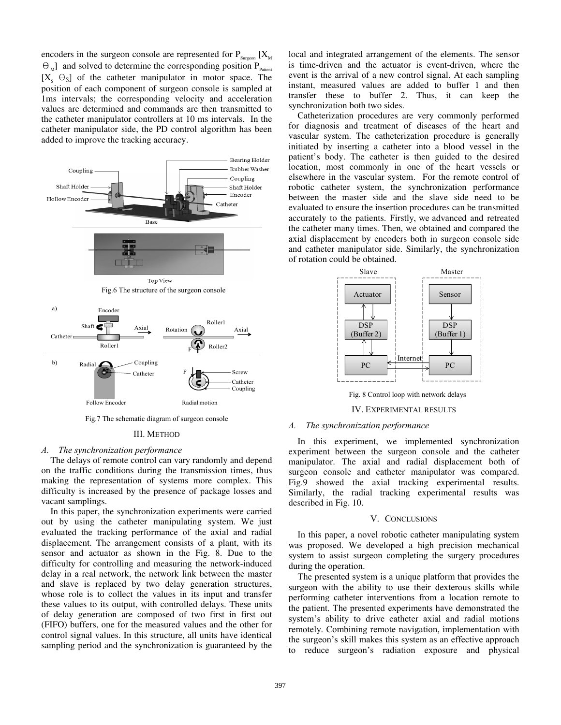encoders in the surgeon console are represented for  $P_{S(XX}$  [X<sub>M</sub>  $\Theta_{\text{M}}$ ] and solved to determine the corresponding position  $P_{\text{Parient}}$  $[X_s \Theta_s]$  of the catheter manipulator in motor space. The position of each component of surgeon console is sampled at 1ms intervals; the corresponding velocity and acceleration values are determined and commands are then transmitted to the catheter manipulator controllers at 10 ms intervals. In the catheter manipulator side, the PD control algorithm has been added to improve the tracking accuracy.



Fig.7 The schematic diagram of surgeon console

#### III. METHOD

### *A. The synchronization performance*

The delays of remote control can vary randomly and depend on the traffic conditions during the transmission times, thus making the representation of systems more complex. This difficulty is increased by the presence of package losses and vacant samplings.

In this paper, the synchronization experiments were carried out by using the catheter manipulating system. We just evaluated the tracking performance of the axial and radial displacement. The arrangement consists of a plant, with its sensor and actuator as shown in the Fig. 8. Due to the difficulty for controlling and measuring the network-induced delay in a real network, the network link between the master and slave is replaced by two delay generation structures, whose role is to collect the values in its input and transfer these values to its output, with controlled delays. These units of delay generation are composed of two first in first out (FIFO) buffers, one for the measured values and the other for control signal values. In this structure, all units have identical sampling period and the synchronization is guaranteed by the local and integrated arrangement of the elements. The sensor is time-driven and the actuator is event-driven, where the event is the arrival of a new control signal. At each sampling instant, measured values are added to buffer 1 and then transfer these to buffer 2. Thus, it can keep the synchronization both two sides.

Catheterization procedures are very commonly performed for diagnosis and treatment of diseases of the heart and vascular system. The catheterization procedure is generally initiated by inserting a catheter into a blood vessel in the patient's body. The catheter is then guided to the desired location, most commonly in one of the heart vessels or elsewhere in the vascular system. For the remote control of robotic catheter system, the synchronization performance between the master side and the slave side need to be evaluated to ensure the insertion procedures can be transmitted accurately to the patients. Firstly, we advanced and retreated the catheter many times. Then, we obtained and compared the axial displacement by encoders both in surgeon console side and catheter manipulator side. Similarly, the synchronization of rotation could be obtained.



IV. EXPERIMENTAL RESULTS

### *A. The synchronization performance*

In this experiment, we implemented synchronization experiment between the surgeon console and the catheter manipulator. The axial and radial displacement both of surgeon console and catheter manipulator was compared. Fig.9 showed the axial tracking experimental results. Similarly, the radial tracking experimental results was described in Fig. 10.

## V. CONCLUSIONS

In this paper, a novel robotic catheter manipulating system was proposed. We developed a high precision mechanical system to assist surgeon completing the surgery procedures during the operation.

The presented system is a unique platform that provides the surgeon with the ability to use their dexterous skills while performing catheter interventions from a location remote to the patient. The presented experiments have demonstrated the system's ability to drive catheter axial and radial motions remotely. Combining remote navigation, implementation with the surgeon's skill makes this system as an effective approach to reduce surgeon's radiation exposure and physical